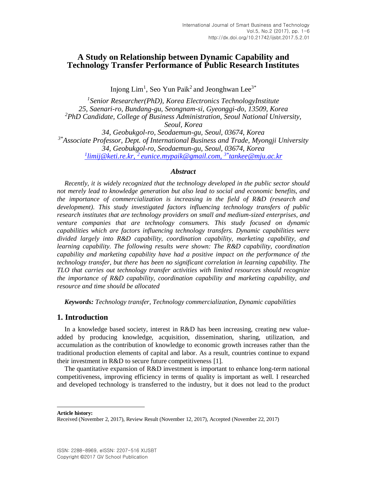# **A Study on Relationship between Dynamic Capability and Technology Transfer Performance of Public Research Institutes**

Injong  $Lim<sup>1</sup>$ , Seo Yun Paik<sup>2</sup> and Jeonghwan Lee<sup>3\*</sup>

*1 Senior Researcher(PhD), Korea Electronics TechnologyInstitute 25, Saenari-ro, Bundang-gu, Seongnam-si, Gyeonggi-do, 13509, Korea <sup>2</sup>PhD Candidate, College of Business Administration, Seoul National University, Seoul, Korea 34, Geobukgol-ro, Seodaemun-gu, Seoul, 03674, Korea 3\*Associate Professor, Dept. of International Business and Trade, Myongji University 34, Geobukgol-ro, Seodaemun-gu, Seoul, 03674, Korea 1 limij@keti.re.kr, <sup>2</sup>[eunice.mypaik@gmail.com,](mailto:1limij@keti.re.kr,%202%20eunice.mypaik@gmail.com,%203*tankee@mju.ac.kr) 3\*tankee@mju.ac.kr*

## *Abstract*

*Recently, it is widely recognized that the technology developed in the public sector should not merely lead to knowledge generation but also lead to social and economic benefits, and the importance of commercialization is increasing in the field of R&D (research and development). This study investigated factors influencing technology transfers of public research institutes that are technology providers on small and medium-sized enterprises, and venture companies that are technology consumers. This study focused on dynamic capabilities which are factors influencing technology transfers. Dynamic capabilities were divided largely into R&D capability, coordination capability, marketing capability, and learning capability. The following results were shown: The R&D capability, coordination capability and marketing capability have had a positive impact on the performance of the technology transfer, but there has been no significant correlation in learning capability. The TLO that carries out technology transfer activities with limited resources should recognize the importance of R&D capability, coordination capability and marketing capability, and resource and time should be allocated* 

*Keywords: Technology transfer, Technology commercialization, Dynamic capabilities*

# **1. Introduction**

In a knowledge based society, interest in R&D has been increasing, creating new valueadded by producing knowledge, acquisition, dissemination, sharing, utilization, and accumulation as the contribution of knowledge to economic growth increases rather than the traditional production elements of capital and labor. As a result, countries continue to expand their investment in R&D to secure future competitiveness [\[1\].](#page-5-0)

The quantitative expansion of R&D investment is important to enhance long-term national competitiveness, improving efficiency in terms of quality is important as well. I researched and developed technology is transferred to the industry, but it does not lead to the product

**Article history:**

l

Received (November 2, 2017), Review Result (November 12, 2017), Accepted (November 22, 2017)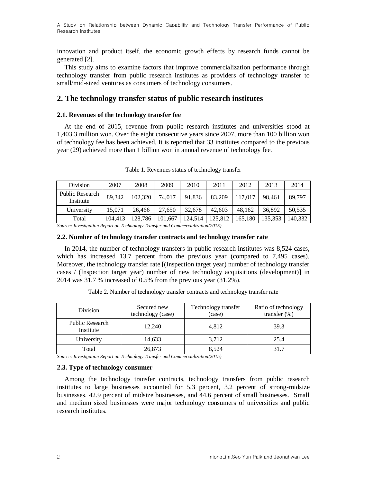A Study on Relationship between Dynamic Capability and Technology Transfer Performance of Public Research Institutes

innovation and product itself, the economic growth effects by research funds cannot be generated [\[2\].](#page-5-1)

This study aims to examine factors that improve commercialization performance through technology transfer from public research institutes as providers of technology transfer to small/mid-sized ventures as consumers of technology consumers.

## **2. The technology transfer status of public research institutes**

#### **2.1. Revenues of the technology transfer fee**

At the end of 2015, revenue from public research institutes and universities stood at 1,403.3 million won. Over the eight consecutive years since 2007, more than 100 billion won of technology fee has been achieved. It is reported that 33 institutes compared to the previous year (29) achieved more than 1 billion won in annual revenue of technology fee.

| Division                     | 2007    | 2008    | 2009    | 2010    | 2011    | 2012    | 2013    | 2014    |
|------------------------------|---------|---------|---------|---------|---------|---------|---------|---------|
| Public Research<br>Institute | 89.342  | 102.320 | 74.017  | 91,836  | 83,209  | 117.017 | 98.461  | 89.797  |
| University                   | 15.071  | 26,466  | 27.650  | 32.678  | 42,603  | 48.162  | 36.892  | 50.535  |
| Total                        | 104.413 | 128.786 | 101,667 | 124,514 | 125,812 | 165,180 | 135,353 | 140.332 |

Table 1. Revenues status of technology transfer

*Source: Investigation Report on Technology Transfer and Commercialization(2015)*

### **2.2. Number of technology transfer contracts and technology transfer rate**

In 2014, the number of technology transfers in public research institutes was 8,524 cases, which has increased 13.7 percent from the previous year (compared to 7,495 cases). Moreover, the technology transfer rate [(Inspection target year) number of technology transfer cases / (Inspection target year) number of new technology acquisitions (development)] in 2014 was 31.7 % increased of 0.5% from the previous year (31.2%).

| Division                     | Secured new<br>technology (case) | Technology transfer<br>(case) | Ratio of technology<br>transfer $(\%)$ |
|------------------------------|----------------------------------|-------------------------------|----------------------------------------|
| Public Research<br>Institute | 12.240                           | 4.812                         | 39.3                                   |
| University                   | 14,633                           | 3,712                         | 25.4                                   |
| Total                        | 26,873                           | 8.524                         | 31.7                                   |

Table 2. Number of technology transfer contracts and technology transfer rate

*Source: Investigation Report on Technology Transfer and Commercialization(2015)*

#### **2.3. Type of technology consumer**

Among the technology transfer contracts, technology transfers from public research institutes to large businesses accounted for 5.3 percent, 3.2 percent of strong-midsize businesses, 42.9 percent of midsize businesses, and 44.6 percent of small businesses. Small and medium sized businesses were major technology consumers of universities and public research institutes.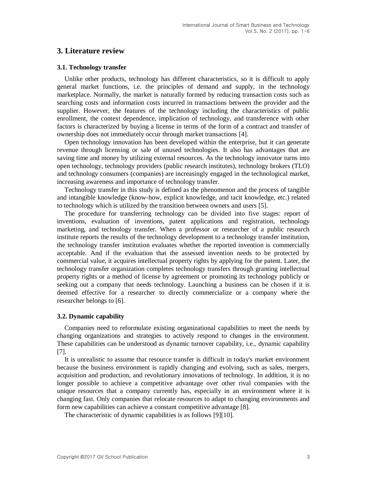## **3. Literature review**

#### **3.1. Technology transfer**

Unlike other products, technology has different characteristics, so it is difficult to apply general market functions, i.e. the principles of demand and supply, in the technology marketplace. Normally, the market is naturally formed by reducing transaction costs such as searching costs and information costs incurred in transactions between the provider and the supplier. However, the features of the technology including the characteristics of public enrollment, the context dependence, implication of technology, and transference with other factors is characterized by buying a license in terms of the form of a contract and transfer of ownership does not immediately occur through market transactions [\[4\].](#page-5-2)

Open technology innovation has been developed within the enterprise, but it can generate revenue through licensing or sale of unused technologies. It also has advantages that are saving time and money by utilizing external resources. As the technology innovator turns into open technology, technology providers (public research institutes), technology brokers (TLO) and technology consumers (companies) are increasingly engaged in the technological market, increasing awareness and importance of technology transfer.

Technology transfer in this study is defined as the phenomenon and the process of tangible and intangible knowledge (know-how, explicit knowledge, and tacit knowledge, etc.) related to technology which is utilized by the transition between owners and users [\[5\].](#page-5-3)

The procedure for transferring technology can be divided into five stages: report of inventions, evaluation of inventions, patent applications and registration, technology marketing, and technology transfer. When a professor or researcher of a public research institute reports the results of the technology development to a technology transfer institution, the technology transfer institution evaluates whether the reported invention is commercially acceptable. And if the evaluation that the assessed invention needs to be protected by commercial value, it acquires intellectual property rights by applying for the patent. Later, the technology transfer organization completes technology transfers through granting intellectual property rights or a method of license by agreement or promoting its technology publicly or seeking out a company that needs technology. Launching a business can be chosen if it is deemed effective for a researcher to directly commercialize or a company where the researcher belongs to [\[6\].](#page-5-4)

#### **3.2. Dynamic capability**

Companies need to reformulate existing organizational capabilities to meet the needs by changing organizations and strategies to actively respond to changes in the environment. These capabilities can be understood as dynamic turnover capability, i.e., dynamic capability [\[7\].](#page-5-5)

It is unrealistic to assume that resource transfer is difficult in today's market environment because the business environment is rapidly changing and evolving, such as sales, mergers, acquisition and production, and revolutionary innovations of technology. In addition, it is no longer possible to achieve a competitive advantage over other rival companies with the unique resources that a company currently has, especially in an environment where it is changing fast. Only companies that relocate resources to adapt to changing environments and form new capabilities can achieve a constant competitive advantage [\[8\].](#page-5-6)

The characteristic of dynamic capabilities is as follows [\[9\]\[10\].](#page-5-7)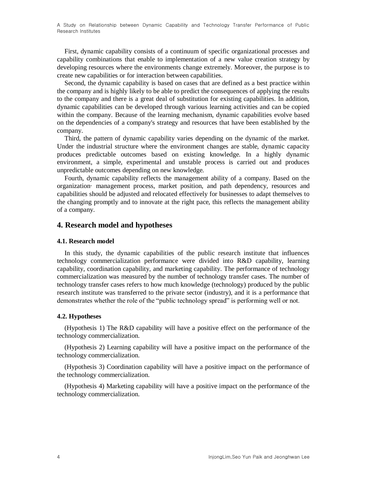First, dynamic capability consists of a continuum of specific organizational processes and capability combinations that enable to implementation of a new value creation strategy by developing resources where the environments change extremely. Moreover, the purpose is to create new capabilities or for interaction between capabilities.

Second, the dynamic capability is based on cases that are defined as a best practice within the company and is highly likely to be able to predict the consequences of applying the results to the company and there is a great deal of substitution for existing capabilities. In addition, dynamic capabilities can be developed through various learning activities and can be copied within the company. Because of the learning mechanism, dynamic capabilities evolve based on the dependencies of a company's strategy and resources that have been established by the company.

Third, the pattern of dynamic capability varies depending on the dynamic of the market. Under the industrial structure where the environment changes are stable, dynamic capacity produces predictable outcomes based on existing knowledge. In a highly dynamic environment, a simple, experimental and unstable process is carried out and produces unpredictable outcomes depending on new knowledge.

Fourth, dynamic capability reflects the management ability of a company. Based on the organization· management process, market position, and path dependency, resources and capabilities should be adjusted and relocated effectively for businesses to adapt themselves to the changing promptly and to innovate at the right pace, this reflects the management ability of a company.

# **4. Research model and hypotheses**

#### **4.1. Research model**

In this study, the dynamic capabilities of the public research institute that influences technology commercialization performance were divided into R&D capability, learning capability, coordination capability, and marketing capability. The performance of technology commercialization was measured by the number of technology transfer cases. The number of technology transfer cases refers to how much knowledge (technology) produced by the public research institute was transferred to the private sector (industry), and it is a performance that demonstrates whether the role of the "public technology spread" is performing well or not.

## **4.2. Hypotheses**

(Hypothesis 1) The R&D capability will have a positive effect on the performance of the technology commercialization.

(Hypothesis 2) Learning capability will have a positive impact on the performance of the technology commercialization.

(Hypothesis 3) Coordination capability will have a positive impact on the performance of the technology commercialization.

(Hypothesis 4) Marketing capability will have a positive impact on the performance of the technology commercialization.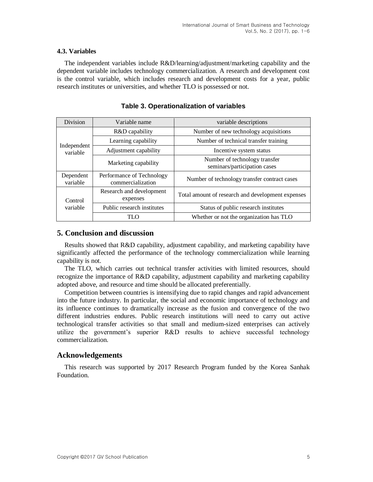### **4.3. Variables**

The independent variables include R&D/learning/adjustment/marketing capability and the dependent variable includes technology commercialization. A research and development cost is the control variable, which includes research and development costs for a year, public research institutes or universities, and whether TLO is possessed or not.

| Division                | Variable name                                  | variable descriptions                                         |  |  |
|-------------------------|------------------------------------------------|---------------------------------------------------------------|--|--|
| Independent<br>variable | R&D capability                                 | Number of new technology acquisitions                         |  |  |
|                         | Learning capability                            | Number of technical transfer training                         |  |  |
|                         | Adjustment capability                          | Incentive system status                                       |  |  |
|                         | Marketing capability                           | Number of technology transfer<br>seminars/participation cases |  |  |
| Dependent<br>variable   | Performance of Technology<br>commercialization | Number of technology transfer contract cases                  |  |  |
| Control<br>variable     | Research and development<br>expenses           | Total amount of research and development expenses             |  |  |
|                         | Public research institutes                     | Status of public research institutes                          |  |  |
|                         | TI O                                           | Whether or not the organization has TLO                       |  |  |

**Table 3. Operationalization of variables**

# **5. Conclusion and discussion**

Results showed that R&D capability, adjustment capability, and marketing capability have significantly affected the performance of the technology commercialization while learning capability is not.

The TLO, which carries out technical transfer activities with limited resources, should recognize the importance of R&D capability, adjustment capability and marketing capability adopted above, and resource and time should be allocated preferentially.

Competition between countries is intensifying due to rapid changes and rapid advancement into the future industry. In particular, the social and economic importance of technology and its influence continues to dramatically increase as the fusion and convergence of the two different industries endures. Public research institutions will need to carry out active technological transfer activities so that small and medium-sized enterprises can actively utilize the government's superior R&D results to achieve successful technology commercialization.

## **Acknowledgements**

This research was supported by 2017 Research Program funded by the Korea Sanhak Foundation.